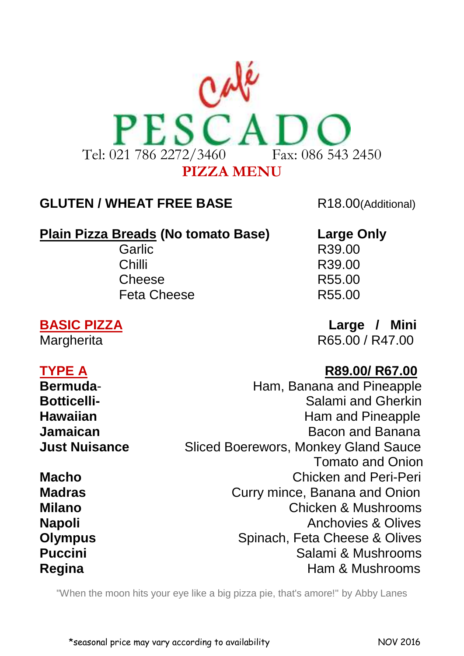

## **GLUTEN / WHEAT FREE BASE** R18.00(Additional)

## **Plain Pizza Breads (No tomato Base) Large Only**

Garlic R39.00 Chilli R39.00 Cheese R55.00 Feta Cheese R55.00

**BASIC PIZZA** Large / Mini Margherita **R65.00 / R47.00** 

# **TYPE A R89.00/ R67.00**

**Bermuda- Ham, Banana and Pineapple Botticelli-** Botticelli- **Salami** and Gherkin **Hawaiian Ham** and Pineapple **Jamaican Bacon** and Banana **Just Nuisance** Sliced Boerewors, Monkey Gland Sauce Tomato and Onion **Macho** Chicken and Peri-Peri **Madras Curry mince, Banana and Onion Milano** Chicken & Mushrooms **Napoli Anchovies & Olives Olympus** Spinach, Feta Cheese & Olives **Puccini Puccini Puccini Salami & Mushrooms Regina Ham & Mushrooms** 

["When the moon hits your eye like a big pizza pie, that's amore!"](http://www.flickriver.com/photos/abbylanes/5148580729/) by [Abby Lanes](http://www.flickriver.com/photos/abbylanes/popular-interesting/)

\*seasonal price may vary according to availability NOV 2016